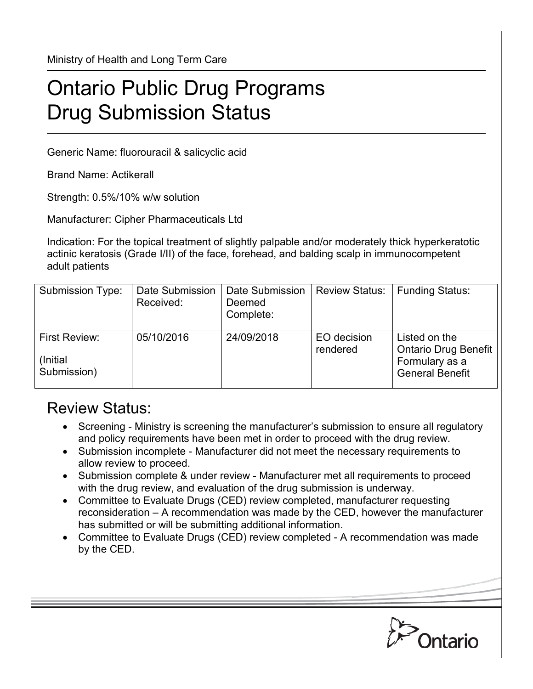Ministry of Health and Long Term Care

## Ontario Public Drug Programs Drug Submission Status

Generic Name: fluorouracil & salicyclic acid

Brand Name: Actikerall

Strength: 0.5%/10% w/w solution

Manufacturer: Cipher Pharmaceuticals Ltd

Indication: For the topical treatment of slightly palpable and/or moderately thick hyperkeratotic actinic keratosis (Grade I/II) of the face, forehead, and balding scalp in immunocompetent adult patients

| Submission Type:                          | Date Submission<br>Received: | Date Submission<br>Deemed<br>Complete: | <b>Review Status:</b>   | <b>Funding Status:</b>                                                                   |
|-------------------------------------------|------------------------------|----------------------------------------|-------------------------|------------------------------------------------------------------------------------------|
| First Review:<br>(Initial)<br>Submission) | 05/10/2016                   | 24/09/2018                             | EO decision<br>rendered | Listed on the<br><b>Ontario Drug Benefit</b><br>Formulary as a<br><b>General Benefit</b> |

## Review Status:

- Screening Ministry is screening the manufacturer's submission to ensure all regulatory and policy requirements have been met in order to proceed with the drug review.
- Submission incomplete Manufacturer did not meet the necessary requirements to allow review to proceed.
- Submission complete & under review Manufacturer met all requirements to proceed with the drug review, and evaluation of the drug submission is underway.
- Committee to Evaluate Drugs (CED) review completed, manufacturer requesting reconsideration – A recommendation was made by the CED, however the manufacturer has submitted or will be submitting additional information.
- Committee to Evaluate Drugs (CED) review completed A recommendation was made by the CED.